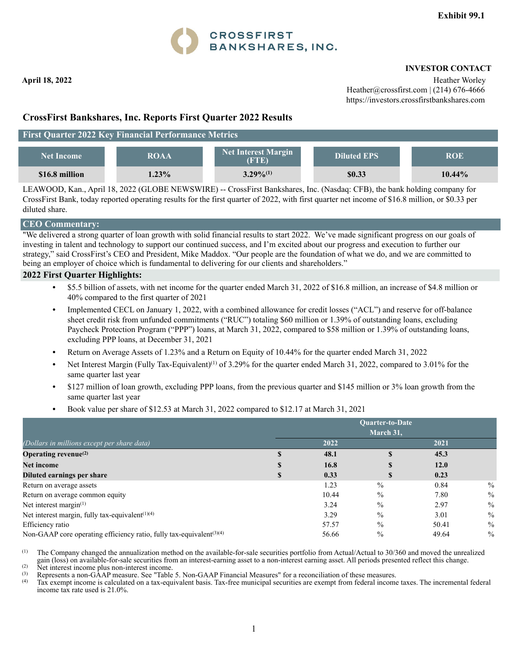

 **April 18, 2022** Heather Worley **Heather Worley** Heather@crossfirst.com | (214) 676-4666 https://investors.crossfirstbankshares.com

## **CrossFirst Bankshares, Inc. Reports First Quarter 2022 Results**

### **First Quarter 2022 Key Financial Performance Metrics**

| <b>Net Income</b> | <b>ROAA</b> | <b>Net Interest Margin</b><br>(FTE) | <b>Diluted EPS</b> | ROE       |
|-------------------|-------------|-------------------------------------|--------------------|-----------|
| \$16.8 million    | $1.23\%$    | $3.29\%^{(1)}$                      | \$0.33             | $10.44\%$ |

LEAWOOD, Kan., April 18, 2022 (GLOBE NEWSWIRE) -- CrossFirst Bankshares, Inc. (Nasdaq: CFB), the bank holding company for CrossFirst Bank, today reported operating results for the first quarter of 2022, with first quarter net income of \$16.8 million, or \$0.33 per diluted share.

### **CEO Commentary:**

"We delivered a strong quarter of loan growth with solid financial results to start 2022. We've made significant progress on our goals of investing in talent and technology to support our continued success, and I'm excited about our progress and execution to further our strategy," said CrossFirst's CEO and President, Mike Maddox. "Our people are the foundation of what we do, and we are committed to being an employer of choice which is fundamental to delivering for our clients and shareholders."

#### **2022 First Quarter Highlights:**

- **•** \$5.5 billion of assets, with net income for the quarter ended March 31, 2022 of \$16.8 million, an increase of \$4.8 million or 40% compared to the first quarter of 2021
- **•** Implemented CECL on January 1, 2022, with a combined allowance for credit losses ("ACL") and reserve for off-balance sheet credit risk from unfunded commitments ("RUC") totaling \$60 million or 1.39% of outstanding loans, excluding Paycheck Protection Program ("PPP") loans, at March 31, 2022, compared to \$58 million or 1.39% of outstanding loans, excluding PPP loans, at December 31, 2021
- **•** Return on Average Assets of 1.23% and a Return on Equity of 10.44% for the quarter ended March 31, 2022
- Net Interest Margin (Fully Tax-Equivalent)<sup>(1)</sup> of 3.29% for the quarter ended March 31, 2022, compared to 3.01% for the same quarter last year
- **•** \$127 million of loan growth, excluding PPP loans, from the previous quarter and \$145 million or 3% loan growth from the same quarter last year
- **•** Book value per share of \$12.53 at March 31, 2022 compared to \$12.17 at March 31, 2021

|                                                                                  | Quarter-to-Date<br>March 31, |       |               |       |               |  |  |  |  |  |  |  |
|----------------------------------------------------------------------------------|------------------------------|-------|---------------|-------|---------------|--|--|--|--|--|--|--|
| (Dollars in millions except per share data)                                      |                              | 2022  |               | 2021  |               |  |  |  |  |  |  |  |
| Operating revenue $^{(2)}$                                                       |                              | 48.1  |               | 45.3  |               |  |  |  |  |  |  |  |
| <b>Net income</b>                                                                | S                            | 16.8  | \$            | 12.0  |               |  |  |  |  |  |  |  |
| Diluted earnings per share                                                       | \$                           | 0.33  | \$            | 0.23  |               |  |  |  |  |  |  |  |
| Return on average assets                                                         |                              | 1.23  | $\frac{0}{0}$ | 0.84  | $\%$          |  |  |  |  |  |  |  |
| Return on average common equity                                                  |                              | 10.44 | $\frac{0}{0}$ | 7.80  | $\%$          |  |  |  |  |  |  |  |
| Net interest margin $(1)$                                                        |                              | 3.24  | $\frac{0}{0}$ | 2.97  | $\frac{0}{0}$ |  |  |  |  |  |  |  |
| Net interest margin, fully tax-equivalent <sup>(1)(4)</sup>                      |                              | 3.29  | $\frac{0}{0}$ | 3.01  | $\%$          |  |  |  |  |  |  |  |
| Efficiency ratio                                                                 |                              | 57.57 | $\frac{0}{0}$ | 50.41 | $\frac{0}{0}$ |  |  |  |  |  |  |  |
| Non-GAAP core operating efficiency ratio, fully tax-equivalent <sup>(3)(4)</sup> |                              | 56.66 | $\frac{0}{0}$ | 49.64 | $\frac{0}{0}$ |  |  |  |  |  |  |  |

(1) The Company changed the annualization method on the available-for-sale securities portfolio from Actual/Actual to 30/360 and moved the unrealized gain (loss) on available-for-sale securities from an interest-earning asset to a non-interest earning asset. All periods presented reflect this change.

(2) Net interest income plus non-interest income.<br>
(3) Represents a non-GAAP measure. See "Table 5. Non-GAAP Financial Measures" for a reconciliation of these measures.

(4) Tax exempt income is calculated on a tax-equivalent basis. Tax-free municipal securities are exempt from federal income taxes. The incremental federal income tax rate used is 21.0%.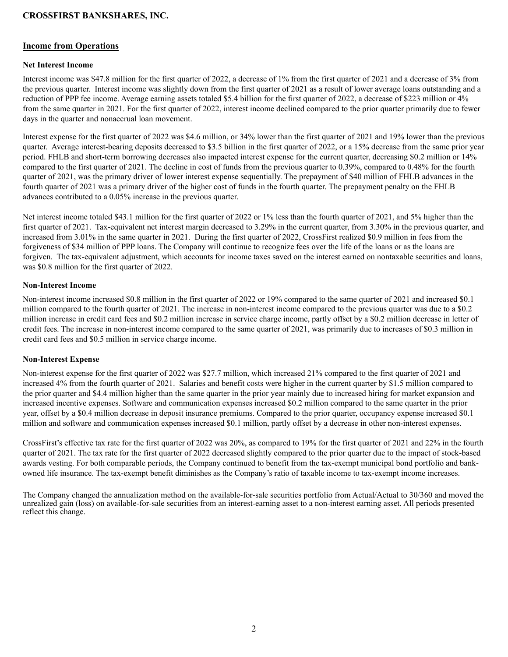#### **Income from Operations**

#### **Net Interest Income**

Interest income was \$47.8 million for the first quarter of 2022, a decrease of 1% from the first quarter of 2021 and a decrease of 3% from the previous quarter. Interest income was slightly down from the first quarter of 2021 as a result of lower average loans outstanding and a reduction of PPP fee income. Average earning assets totaled \$5.4 billion for the first quarter of 2022, a decrease of \$223 million or 4% from the same quarter in 2021. For the first quarter of 2022, interest income declined compared to the prior quarter primarily due to fewer days in the quarter and nonaccrual loan movement.

Interest expense for the first quarter of 2022 was \$4.6 million, or 34% lower than the first quarter of 2021 and 19% lower than the previous quarter. Average interest-bearing deposits decreased to \$3.5 billion in the first quarter of 2022, or a 15% decrease from the same prior year period. FHLB and short-term borrowing decreases also impacted interest expense for the current quarter, decreasing \$0.2 million or 14% compared to the first quarter of 2021. The decline in cost of funds from the previous quarter to 0.39%, compared to 0.48% for the fourth quarter of 2021, was the primary driver of lower interest expense sequentially. The prepayment of \$40 million of FHLB advances in the fourth quarter of 2021 was a primary driver of the higher cost of funds in the fourth quarter. The prepayment penalty on the FHLB advances contributed to a 0.05% increase in the previous quarter.

Net interest income totaled \$43.1 million for the first quarter of 2022 or 1% less than the fourth quarter of 2021, and 5% higher than the first quarter of 2021. Tax-equivalent net interest margin decreased to 3.29% in the current quarter, from 3.30% in the previous quarter, and increased from 3.01% in the same quarter in 2021. During the first quarter of 2022, CrossFirst realized \$0.9 million in fees from the forgiveness of \$34 million of PPP loans. The Company will continue to recognize fees over the life of the loans or as the loans are forgiven. The tax-equivalent adjustment, which accounts for income taxes saved on the interest earned on nontaxable securities and loans, was \$0.8 million for the first quarter of 2022.

#### **Non-Interest Income**

Non-interest income increased \$0.8 million in the first quarter of 2022 or 19% compared to the same quarter of 2021 and increased \$0.1 million compared to the fourth quarter of 2021. The increase in non-interest income compared to the previous quarter was due to a \$0.2 million increase in credit card fees and \$0.2 million increase in service charge income, partly offset by a \$0.2 million decrease in letter of credit fees. The increase in non-interest income compared to the same quarter of 2021, was primarily due to increases of \$0.3 million in credit card fees and \$0.5 million in service charge income.

#### **Non-Interest Expense**

Non-interest expense for the first quarter of 2022 was \$27.7 million, which increased 21% compared to the first quarter of 2021 and increased 4% from the fourth quarter of 2021. Salaries and benefit costs were higher in the current quarter by \$1.5 million compared to the prior quarter and \$4.4 million higher than the same quarter in the prior year mainly due to increased hiring for market expansion and increased incentive expenses. Software and communication expenses increased \$0.2 million compared to the same quarter in the prior year, offset by a \$0.4 million decrease in deposit insurance premiums. Compared to the prior quarter, occupancy expense increased \$0.1 million and software and communication expenses increased \$0.1 million, partly offset by a decrease in other non-interest expenses.

CrossFirst's effective tax rate for the first quarter of 2022 was 20%, as compared to 19% for the first quarter of 2021 and 22% in the fourth quarter of 2021. The tax rate for the first quarter of 2022 decreased slightly compared to the prior quarter due to the impact of stock-based awards vesting. For both comparable periods, the Company continued to benefit from the tax-exempt municipal bond portfolio and bankowned life insurance. The tax-exempt benefit diminishes as the Company's ratio of taxable income to tax-exempt income increases.

The Company changed the annualization method on the available-for-sale securities portfolio from Actual/Actual to 30/360 and moved the unrealized gain (loss) on available-for-sale securities from an interest-earning asset to a non-interest earning asset. All periods presented reflect this change.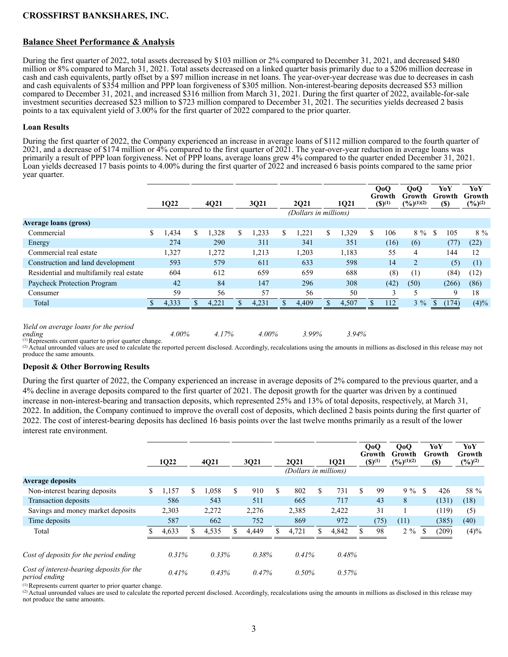## **Balance Sheet Performance & Analysis**

During the first quarter of 2022, total assets decreased by \$103 million or 2% compared to December 31, 2021, and decreased \$480 million or 8% compared to March 31, 2021. Total assets decreased on a linked quarter basis primarily due to a \$206 million decrease in cash and cash equivalents, partly offset by a \$97 million increase in net loans. The year-over-year decrease was due to decreases in cash and cash equivalents of \$354 million and PPP loan forgiveness of \$305 million. Non-interest-bearing deposits decreased \$53 million compared to December 31, 2021, and increased \$316 million from March 31, 2021. During the first quarter of 2022, available-for-sale investment securities decreased \$23 million to \$723 million compared to December 31, 2021. The securities yields decreased 2 basis points to a tax equivalent yield of 3.00% for the first quarter of 2022 compared to the prior quarter.

#### **Loan Results**

During the first quarter of 2022, the Company experienced an increase in average loans of \$112 million compared to the fourth quarter of 2021, and a decrease of \$174 million or 4% compared to the first quarter of 2021. The year-over-year reduction in average loans was primarily a result of PPP loan forgiveness. Net of PPP loans, average loans grew 4% compared to the quarter ended December 31, 2021. Loan yields decreased 17 basis points to 4.00% during the first quarter of 2022 and increased 6 basis points compared to the same prior year quarter.

|                                         | 1Q22        | 4Q21 |       | 3Q21       |     | 2021                  |    | 1021  |    | QoQ<br>Growth<br>$(S)^{(1)}$ | QoQ<br>Growth<br>$(\frac{9}{6})^{(1)(2)}$ |    | YoY<br>Growth<br>$(\$)$ | YoY<br><b>Growth</b><br>$(\frac{9}{6})^{(2)}$ |
|-----------------------------------------|-------------|------|-------|------------|-----|-----------------------|----|-------|----|------------------------------|-------------------------------------------|----|-------------------------|-----------------------------------------------|
|                                         |             |      |       |            |     | (Dollars in millions) |    |       |    |                              |                                           |    |                         |                                               |
| <b>Average loans (gross)</b>            |             |      |       |            |     |                       |    |       |    |                              |                                           |    |                         |                                               |
| Commercial                              | \$<br>1,434 | \$   | ,328  | \$<br>.233 | \$. | .221                  | \$ | ,329  | \$ | 106                          | $8\%$                                     | \$ | 105                     | $8\%$                                         |
| Energy                                  | 274         |      | 290   | 311        |     | 341                   |    | 351   |    | (16)                         | (6)                                       |    | (77)                    | (22)                                          |
| Commercial real estate                  | 1,327       |      | 1,272 | 1,213      |     | 1,203                 |    | 1,183 |    | 55                           | 4                                         |    | 144                     | 12                                            |
| Construction and land development       | 593         |      | 579   | 611        |     | 633                   |    | 598   |    | 14                           | $\overline{2}$                            |    | (5)                     | (1)                                           |
| Residential and multifamily real estate | 604         |      | 612   | 659        |     | 659                   |    | 688   |    | (8)                          | (1)                                       |    | (84)                    | (12)                                          |
| Paycheck Protection Program             | 42          |      | 84    | 147        |     | 296                   |    | 308   |    | (42)                         | (50)                                      |    | (266)                   | (86)                                          |
| Consumer                                | 59          |      | 56    | 57         |     | 56                    |    | 50    |    |                              | 5                                         |    | 9                       | 18                                            |
| Total                                   | 4,333       |      | 4.221 | 4,231      |     | 4.409                 |    | 4,507 |    | 112                          | $3\%$                                     |    | (174)                   | (4)%                                          |
|                                         |             |      |       |            |     |                       |    |       |    |                              |                                           |    |                         |                                               |

*Yield on average loans for the period* 

ending<br>
<sup>(1)</sup> Represents current quarter to prior quarter change.<br>
<sup>(1)</sup> Represents current quarter to prior quarter change.

<sup>(2)</sup> Actual unrounded values are used to calculate the reported percent disclosed. Accordingly, recalculations using the amounts in millions as disclosed in this release may not produce the same amounts.

#### **Deposit & Other Borrowing Results**

During the first quarter of 2022, the Company experienced an increase in average deposits of 2% compared to the previous quarter, and a 4% decline in average deposits compared to the first quarter of 2021. The deposit growth for the quarter was driven by a continued increase in non-interest-bearing and transaction deposits, which represented 25% and 13% of total deposits, respectively, at March 31, 2022. In addition, the Company continued to improve the overall cost of deposits, which declined 2 basis points during the first quarter of 2022. The cost of interest-bearing deposits has declined 16 basis points over the last twelve months primarily as a result of the lower interest rate environment.

|                                                            |    | 1Q22  |    | 4Q21  | 3Q21          |       | <b>2021</b> |                       | 1021        |    | QoQ<br>Growth<br>$(S)^{(1)}$ | QoQ<br>Growth<br>$(\frac{9}{6})(1)(2)$ | YoY<br>Growth<br><b>(\$)</b> |       | YoY<br>Growth<br>$(\frac{9}{6})^{(2)}$ |  |
|------------------------------------------------------------|----|-------|----|-------|---------------|-------|-------------|-----------------------|-------------|----|------------------------------|----------------------------------------|------------------------------|-------|----------------------------------------|--|
|                                                            |    |       |    |       |               |       |             | (Dollars in millions) |             |    |                              |                                        |                              |       |                                        |  |
| <b>Average deposits</b>                                    |    |       |    |       |               |       |             |                       |             |    |                              |                                        |                              |       |                                        |  |
| Non-interest bearing deposits                              | S. | 1,157 | \$ | 1,058 | <sup>\$</sup> | 910   | \$          | 802                   | \$<br>731   | \$ | 99                           | $9\%$                                  | \$                           | 426   | 58 %                                   |  |
| Transaction deposits                                       |    | 586   |    | 543   |               | 511   |             | 665                   | 717         |    | 43                           | 8                                      |                              | (131) | (18)                                   |  |
| Savings and money market deposits                          |    | 2,303 |    | 2,272 |               | 2,276 |             | 2,385                 | 2,422       |    | 31                           |                                        |                              | (119) | (5)                                    |  |
| Time deposits                                              |    | 587   |    | 662   |               | 752   |             | 869                   | 972         |    | (75)                         | (11)                                   |                              | (385) | (40)                                   |  |
| Total                                                      |    | 4,633 |    | 4,535 |               | 4,449 |             | 4,721                 | \$<br>4,842 |    | 98                           | $2\%$                                  | \$                           | (209) | (4)%                                   |  |
|                                                            |    |       |    |       |               |       |             |                       |             |    |                              |                                        |                              |       |                                        |  |
| Cost of deposits for the period ending                     |    | 0.31% |    | 0.33% |               | 0.38% |             | 0.41%                 | 0.48%       |    |                              |                                        |                              |       |                                        |  |
| Cost of interest-bearing deposits for the<br>period ending |    | 0.41% |    | 0.43% |               | 0.47% |             | 0.50%                 | 0.57%       |    |                              |                                        |                              |       |                                        |  |

(1) Represents current quarter to prior quarter change.

(2) Actual unrounded values are used to calculate the reported percent disclosed. Accordingly, recalculations using the amounts in millions as disclosed in this release may not produce the same amounts.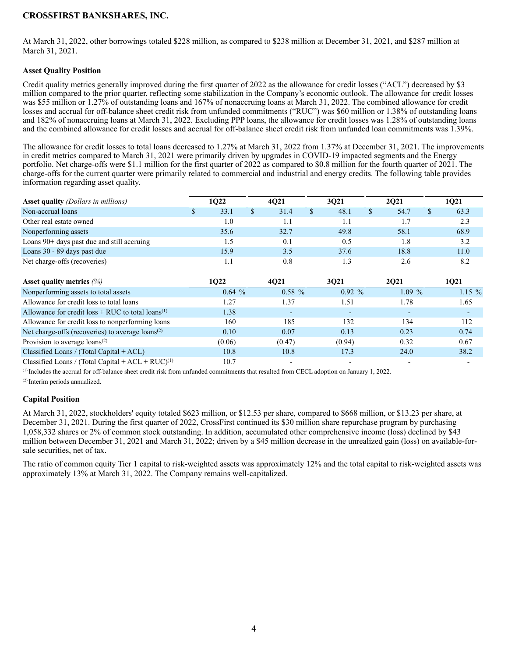At March 31, 2022, other borrowings totaled \$228 million, as compared to \$238 million at December 31, 2021, and \$287 million at March 31, 2021.

#### **Asset Quality Position**

Credit quality metrics generally improved during the first quarter of 2022 as the allowance for credit losses ("ACL") decreased by \$3 million compared to the prior quarter, reflecting some stabilization in the Company's economic outlook. The allowance for credit losses was \$55 million or 1.27% of outstanding loans and 167% of nonaccruing loans at March 31, 2022. The combined allowance for credit losses and accrual for off-balance sheet credit risk from unfunded commitments ("RUC") was \$60 million or 1.38% of outstanding loans and 182% of nonaccruing loans at March 31, 2022. Excluding PPP loans, the allowance for credit losses was 1.28% of outstanding loans and the combined allowance for credit losses and accrual for off-balance sheet credit risk from unfunded loan commitments was 1.39%.

The allowance for credit losses to total loans decreased to 1.27% at March 31, 2022 from 1.37% at December 31, 2021. The improvements in credit metrics compared to March 31, 2021 were primarily driven by upgrades in COVID-19 impacted segments and the Energy portfolio. Net charge-offs were \$1.1 million for the first quarter of 2022 as compared to \$0.8 million for the fourth quarter of 2021. The charge-offs for the current quarter were primarily related to commercial and industrial and energy credits. The following table provides information regarding asset quality.

| <b>Asset quality</b> (Dollars in millions)                       | 1Q22 |        |               | 4Q21           |               | 3Q21                     |               | 2Q21     |              | 1Q21                     |
|------------------------------------------------------------------|------|--------|---------------|----------------|---------------|--------------------------|---------------|----------|--------------|--------------------------|
| Non-accrual loans                                                | S.   | 33.1   | $\mathcal{S}$ | 31.4           | $\mathcal{S}$ | 48.1                     | $\mathcal{S}$ | 54.7     | $\mathbf{s}$ | 63.3                     |
| Other real estate owned                                          |      | 1.0    |               | 1.1            |               | 1.1                      |               | 1.7      |              | 2.3                      |
| Nonperforming assets                                             |      | 35.6   |               | 32.7           |               | 49.8                     |               | 58.1     |              | 68.9                     |
| Loans 90+ days past due and still accruing                       |      | 1.5    |               | 0.1            |               | 0.5                      |               | 1.8      |              | 3.2                      |
| Loans 30 - 89 days past due                                      |      | 15.9   |               | 3.5            |               | 37.6                     |               | 18.8     |              | 11.0                     |
| Net charge-offs (recoveries)                                     |      | 1.1    |               | 0.8            |               | 1.3                      |               | 2.6      |              | 8.2                      |
| Asset quality metrics $(\%)$                                     |      | 1022   |               | 4021           |               | 3021                     |               | 2Q21     |              | 1Q21                     |
| Nonperforming assets to total assets                             |      | 0.64%  |               | $0.58\%$       |               | $0.92\%$                 |               | $1.09\%$ |              | $1.15\%$                 |
| Allowance for credit loss to total loans                         |      | 1.27   |               | 1.37           |               | 1.51                     |               | 1.78     |              | 1.65                     |
| Allowance for credit loss $+$ RUC to total loans <sup>(1)</sup>  |      | 1.38   |               | $\overline{a}$ |               |                          |               |          |              | $\overline{\phantom{a}}$ |
| Allowance for credit loss to nonperforming loans                 |      | 160    |               | 185            |               | 132                      |               | 134      |              | 112                      |
| Net charge-offs (recoveries) to average loans <sup>(2)</sup>     |      | 0.10   |               | 0.07           |               | 0.13                     |               | 0.23     |              | 0.74                     |
| Provision to average $\text{loans}^{(2)}$                        |      | (0.06) |               | (0.47)         |               | (0.94)                   |               | 0.32     |              | 0.67                     |
| Classified Loans / (Total Capital $+$ ACL)                       |      | 10.8   |               | 10.8           |               | 17.3                     |               | 24.0     |              | 38.2                     |
| Classified Loans / (Total Capital + ACL + $RUC$ ) <sup>(1)</sup> |      | 10.7   |               |                |               | $\overline{\phantom{a}}$ |               |          |              |                          |

(1) Includes the accrual for off-balance sheet credit risk from unfunded commitments that resulted from CECL adoption on January 1, 2022.

(2) Interim periods annualized.

#### **Capital Position**

At March 31, 2022, stockholders' equity totaled \$623 million, or \$12.53 per share, compared to \$668 million, or \$13.23 per share, at December 31, 2021. During the first quarter of 2022, CrossFirst continued its \$30 million share repurchase program by purchasing 1,058,332 shares or 2% of common stock outstanding. In addition, accumulated other comprehensive income (loss) declined by \$43 million between December 31, 2021 and March 31, 2022; driven by a \$45 million decrease in the unrealized gain (loss) on available-forsale securities, net of tax.

The ratio of common equity Tier 1 capital to risk-weighted assets was approximately 12% and the total capital to risk-weighted assets was approximately 13% at March 31, 2022. The Company remains well-capitalized.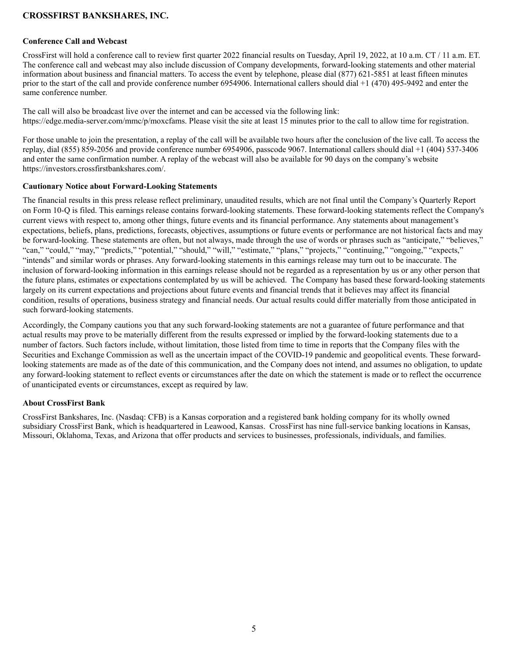## **Conference Call and Webcast**

CrossFirst will hold a conference call to review first quarter 2022 financial results on Tuesday, April 19, 2022, at 10 a.m. CT / 11 a.m. ET. The conference call and webcast may also include discussion of Company developments, forward-looking statements and other material information about business and financial matters. To access the event by telephone, please dial (877) 621-5851 at least fifteen minutes prior to the start of the call and provide conference number 6954906. International callers should dial +1 (470) 495-9492 and enter the same conference number.

The call will also be broadcast live over the internet and can be accessed via the following link: https://edge.media-server.com/mmc/p/moxcfams. Please visit the site at least 15 minutes prior to the call to allow time for registration.

For those unable to join the presentation, a replay of the call will be available two hours after the conclusion of the live call. To access the replay, dial (855) 859-2056 and provide conference number 6954906, passcode 9067. International callers should dial +1 (404) 537-3406 and enter the same confirmation number. A replay of the webcast will also be available for 90 days on the company's website https://investors.crossfirstbankshares.com/.

#### **Cautionary Notice about Forward-Looking Statements**

The financial results in this press release reflect preliminary, unaudited results, which are not final until the Company's Quarterly Report on Form 10-Q is filed. This earnings release contains forward-looking statements. These forward-looking statements reflect the Company's current views with respect to, among other things, future events and its financial performance. Any statements about management's expectations, beliefs, plans, predictions, forecasts, objectives, assumptions or future events or performance are not historical facts and may be forward-looking. These statements are often, but not always, made through the use of words or phrases such as "anticipate," "believes," "can," "could," "may," "predicts," "potential," "should," "will," "estimate," "plans," "projects," "continuing," "ongoing," "expects," "intends" and similar words or phrases. Any forward-looking statements in this earnings release may turn out to be inaccurate. The inclusion of forward-looking information in this earnings release should not be regarded as a representation by us or any other person that the future plans, estimates or expectations contemplated by us will be achieved. The Company has based these forward-looking statements largely on its current expectations and projections about future events and financial trends that it believes may affect its financial condition, results of operations, business strategy and financial needs. Our actual results could differ materially from those anticipated in such forward-looking statements.

Accordingly, the Company cautions you that any such forward-looking statements are not a guarantee of future performance and that actual results may prove to be materially different from the results expressed or implied by the forward-looking statements due to a number of factors. Such factors include, without limitation, those listed from time to time in reports that the Company files with the Securities and Exchange Commission as well as the uncertain impact of the COVID-19 pandemic and geopolitical events. These forwardlooking statements are made as of the date of this communication, and the Company does not intend, and assumes no obligation, to update any forward-looking statement to reflect events or circumstances after the date on which the statement is made or to reflect the occurrence of unanticipated events or circumstances, except as required by law.

#### **About CrossFirst Bank**

CrossFirst Bankshares, Inc. (Nasdaq: CFB) is a Kansas corporation and a registered bank holding company for its wholly owned subsidiary CrossFirst Bank, which is headquartered in Leawood, Kansas. CrossFirst has nine full-service banking locations in Kansas, Missouri, Oklahoma, Texas, and Arizona that offer products and services to businesses, professionals, individuals, and families.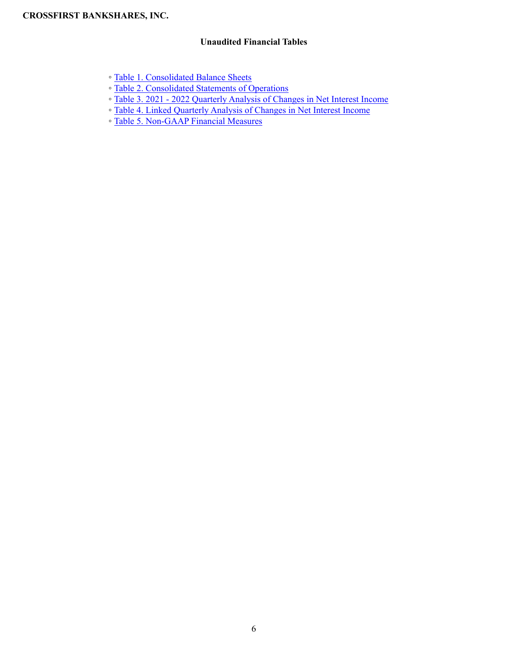## **Unaudited Financial Tables**

- Table 1. Consolidated Balance Sheets
- Table 2. Consolidated Statements of Operations
- Table 3. 2021 2022 Quarterly Analysis of Changes in Net Interest Income
- Table 4. Linked Quarterly Analysis of Changes in Net Interest Income
- Table 5. Non-GAAP Financial Measures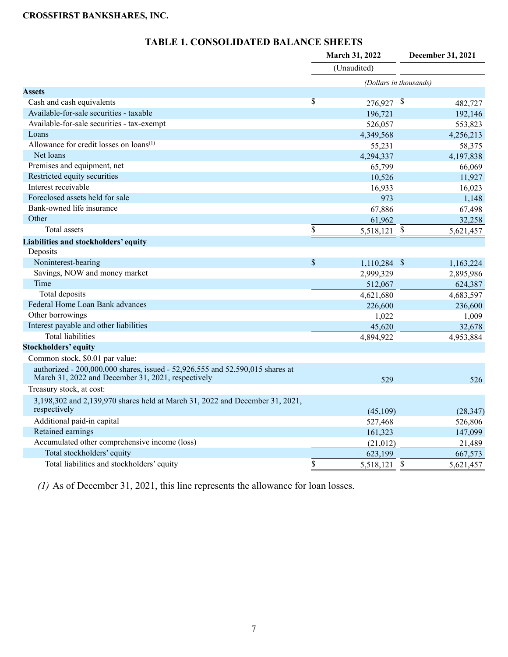| TABLE 1. CONSOLIDATED BALANCE SHEETS |
|--------------------------------------|
|                                      |

|                                                                                                                                     |                         | March 31, 2022         |                           | December 31, 2021 |
|-------------------------------------------------------------------------------------------------------------------------------------|-------------------------|------------------------|---------------------------|-------------------|
|                                                                                                                                     |                         | (Unaudited)            |                           |                   |
|                                                                                                                                     |                         | (Dollars in thousands) |                           |                   |
| <b>Assets</b>                                                                                                                       |                         |                        |                           |                   |
| Cash and cash equivalents                                                                                                           | $\overline{\mathbb{S}}$ | 276,927                | \$                        | 482,727           |
| Available-for-sale securities - taxable                                                                                             |                         | 196,721                |                           | 192,146           |
| Available-for-sale securities - tax-exempt                                                                                          |                         | 526,057                |                           | 553,823           |
| Loans                                                                                                                               |                         | 4,349,568              |                           | 4,256,213         |
| Allowance for credit losses on loans <sup>(1)</sup>                                                                                 |                         | 55,231                 |                           | 58,375            |
| Net loans                                                                                                                           |                         | 4,294,337              |                           | 4,197,838         |
| Premises and equipment, net                                                                                                         |                         | 65,799                 |                           | 66,069            |
| Restricted equity securities                                                                                                        |                         | 10,526                 |                           | 11,927            |
| Interest receivable                                                                                                                 |                         | 16,933                 |                           | 16,023            |
| Foreclosed assets held for sale                                                                                                     |                         | 973                    |                           | 1,148             |
| Bank-owned life insurance                                                                                                           |                         | 67,886                 |                           | 67,498            |
| Other                                                                                                                               |                         | 61,962                 |                           | 32,258            |
| Total assets                                                                                                                        | \$                      | 5,518,121 \$           |                           | 5,621,457         |
| Liabilities and stockholders' equity                                                                                                |                         |                        |                           |                   |
| Deposits                                                                                                                            |                         |                        |                           |                   |
| Noninterest-bearing                                                                                                                 | \$                      | $1,110,284$ \$         |                           | 1,163,224         |
| Savings, NOW and money market                                                                                                       |                         | 2,999,329              |                           | 2,895,986         |
| Time                                                                                                                                |                         | 512,067                |                           | 624,387           |
| Total deposits                                                                                                                      |                         | 4,621,680              |                           | 4,683,597         |
| Federal Home Loan Bank advances                                                                                                     |                         | 226,600                |                           | 236,600           |
| Other borrowings                                                                                                                    |                         | 1,022                  |                           | 1,009             |
| Interest payable and other liabilities                                                                                              |                         | 45,620                 |                           | 32,678            |
| <b>Total liabilities</b>                                                                                                            |                         | 4,894,922              |                           | 4,953,884         |
| <b>Stockholders' equity</b>                                                                                                         |                         |                        |                           |                   |
| Common stock, \$0.01 par value:                                                                                                     |                         |                        |                           |                   |
| authorized - 200,000,000 shares, issued - 52,926,555 and 52,590,015 shares at<br>March 31, 2022 and December 31, 2021, respectively |                         | 529                    |                           | 526               |
| Treasury stock, at cost:                                                                                                            |                         |                        |                           |                   |
| 3,198,302 and 2,139,970 shares held at March 31, 2022 and December 31, 2021,<br>respectively                                        |                         | (45,109)               |                           | (28, 347)         |
| Additional paid-in capital                                                                                                          |                         | 527,468                |                           | 526,806           |
| Retained earnings                                                                                                                   |                         | 161,323                |                           | 147,099           |
| Accumulated other comprehensive income (loss)                                                                                       |                         | (21, 012)              |                           | 21,489            |
| Total stockholders' equity                                                                                                          |                         | 623,199                |                           | 667,573           |
| Total liabilities and stockholders' equity                                                                                          | \$                      | 5,518,121              | $\boldsymbol{\mathsf{S}}$ | 5,621,457         |
|                                                                                                                                     |                         |                        |                           |                   |

*(1)* As of December 31, 2021, this line represents the allowance for loan losses.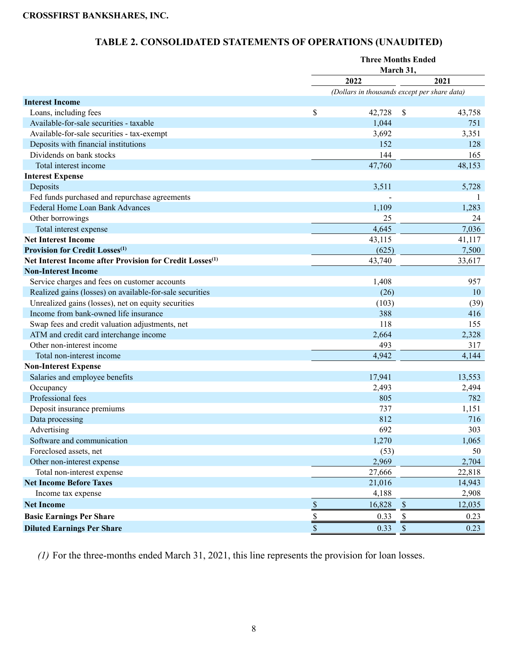# **TABLE 2. CONSOLIDATED STATEMENTS OF OPERATIONS (UNAUDITED)**

|                                                                      | <b>Three Months Ended</b><br>March 31, |                                              |                           |        |  |  |  |  |  |
|----------------------------------------------------------------------|----------------------------------------|----------------------------------------------|---------------------------|--------|--|--|--|--|--|
|                                                                      |                                        |                                              |                           |        |  |  |  |  |  |
|                                                                      |                                        | 2022                                         |                           | 2021   |  |  |  |  |  |
| <b>Interest Income</b>                                               |                                        | (Dollars in thousands except per share data) |                           |        |  |  |  |  |  |
| Loans, including fees                                                | \$                                     | 42,728                                       | \$                        | 43,758 |  |  |  |  |  |
| Available-for-sale securities - taxable                              |                                        | 1,044                                        |                           | 751    |  |  |  |  |  |
| Available-for-sale securities - tax-exempt                           |                                        | 3,692                                        |                           | 3,351  |  |  |  |  |  |
| Deposits with financial institutions                                 |                                        | 152                                          |                           | 128    |  |  |  |  |  |
| Dividends on bank stocks                                             |                                        | 144                                          |                           | 165    |  |  |  |  |  |
| Total interest income                                                |                                        | 47,760                                       |                           | 48,153 |  |  |  |  |  |
| <b>Interest Expense</b>                                              |                                        |                                              |                           |        |  |  |  |  |  |
| Deposits                                                             |                                        | 3,511                                        |                           | 5,728  |  |  |  |  |  |
| Fed funds purchased and repurchase agreements                        |                                        |                                              |                           |        |  |  |  |  |  |
| Federal Home Loan Bank Advances                                      |                                        | 1,109                                        |                           | 1,283  |  |  |  |  |  |
| Other borrowings                                                     |                                        | 25                                           |                           | 24     |  |  |  |  |  |
| Total interest expense                                               |                                        | 4,645                                        |                           | 7,036  |  |  |  |  |  |
| <b>Net Interest Income</b>                                           |                                        | 43,115                                       |                           | 41,117 |  |  |  |  |  |
| <b>Provision for Credit Losses</b> <sup>(1)</sup>                    |                                        | (625)                                        |                           | 7,500  |  |  |  |  |  |
| Net Interest Income after Provision for Credit Losses <sup>(1)</sup> |                                        | 43,740                                       |                           | 33,617 |  |  |  |  |  |
| <b>Non-Interest Income</b>                                           |                                        |                                              |                           |        |  |  |  |  |  |
| Service charges and fees on customer accounts                        |                                        | 1,408                                        |                           | 957    |  |  |  |  |  |
| Realized gains (losses) on available-for-sale securities             |                                        | (26)                                         |                           | 10     |  |  |  |  |  |
| Unrealized gains (losses), net on equity securities                  |                                        | (103)                                        |                           | (39)   |  |  |  |  |  |
| Income from bank-owned life insurance                                |                                        | 388                                          |                           | 416    |  |  |  |  |  |
| Swap fees and credit valuation adjustments, net                      |                                        | 118                                          |                           | 155    |  |  |  |  |  |
| ATM and credit card interchange income                               |                                        | 2,664                                        |                           | 2,328  |  |  |  |  |  |
| Other non-interest income                                            |                                        | 493                                          |                           | 317    |  |  |  |  |  |
| Total non-interest income                                            |                                        | 4,942                                        |                           | 4,144  |  |  |  |  |  |
| <b>Non-Interest Expense</b>                                          |                                        |                                              |                           |        |  |  |  |  |  |
| Salaries and employee benefits                                       |                                        | 17,941                                       |                           | 13,553 |  |  |  |  |  |
| Occupancy                                                            |                                        | 2,493                                        |                           | 2,494  |  |  |  |  |  |
| Professional fees                                                    |                                        | 805                                          |                           | 782    |  |  |  |  |  |
| Deposit insurance premiums                                           |                                        | 737                                          |                           | 1,151  |  |  |  |  |  |
| Data processing                                                      |                                        | 812                                          |                           | 716    |  |  |  |  |  |
| Advertising                                                          |                                        | 692                                          |                           | 303    |  |  |  |  |  |
| Software and communication                                           |                                        | 1,270                                        |                           | 1,065  |  |  |  |  |  |
| Foreclosed assets, net                                               |                                        | (53)                                         |                           | 50     |  |  |  |  |  |
| Other non-interest expense                                           |                                        | 2,969                                        |                           | 2,704  |  |  |  |  |  |
| Total non-interest expense                                           |                                        | 27,666                                       |                           | 22,818 |  |  |  |  |  |
| <b>Net Income Before Taxes</b>                                       |                                        | 21,016                                       |                           | 14,943 |  |  |  |  |  |
| Income tax expense                                                   |                                        | 4,188                                        |                           | 2,908  |  |  |  |  |  |
| <b>Net Income</b>                                                    | $\$$                                   | 16,828                                       | $\$$                      | 12,035 |  |  |  |  |  |
| <b>Basic Earnings Per Share</b>                                      |                                        | 0.33                                         | \$                        | 0.23   |  |  |  |  |  |
| <b>Diluted Earnings Per Share</b>                                    | $rac{1}{3}$                            | 0.33                                         | $\boldsymbol{\mathsf{S}}$ | 0.23   |  |  |  |  |  |

*(1)* For the three-months ended March 31, 2021, this line represents the provision for loan losses.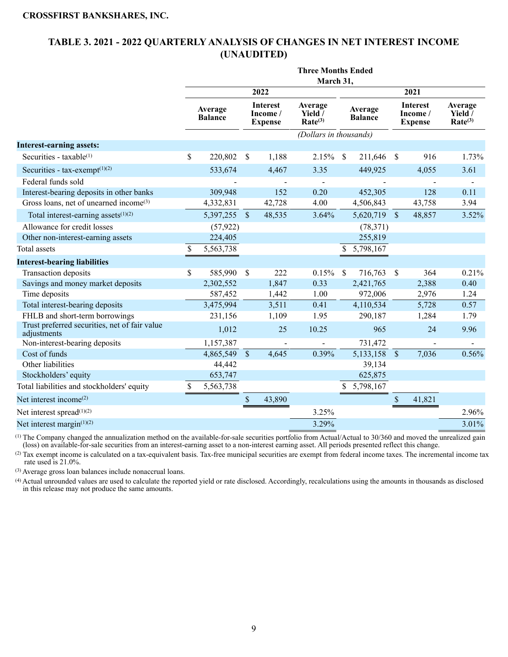## **TABLE 3. 2021 - 2022 QUARTERLY ANALYSIS OF CHANGES IN NET INTEREST INCOME (UNAUDITED)**

|                                                              | <b>Three Months Ended</b><br>March 31, |                           |               |                                              |                                           |               |                           |                    |                                              |                                           |  |  |  |  |
|--------------------------------------------------------------|----------------------------------------|---------------------------|---------------|----------------------------------------------|-------------------------------------------|---------------|---------------------------|--------------------|----------------------------------------------|-------------------------------------------|--|--|--|--|
|                                                              |                                        |                           |               |                                              |                                           |               |                           |                    |                                              |                                           |  |  |  |  |
|                                                              |                                        |                           |               | 2022                                         |                                           |               |                           |                    | 2021                                         |                                           |  |  |  |  |
|                                                              |                                        | Average<br><b>Balance</b> |               | <b>Interest</b><br>Income/<br><b>Expense</b> | Average<br>Yield /<br>Rate <sup>(3)</sup> |               | Average<br><b>Balance</b> |                    | <b>Interest</b><br>Income/<br><b>Expense</b> | Average<br>Yield /<br>Rate <sup>(3)</sup> |  |  |  |  |
|                                                              |                                        |                           |               |                                              | (Dollars in thousands)                    |               |                           |                    |                                              |                                           |  |  |  |  |
| <b>Interest-earning assets:</b>                              |                                        |                           |               |                                              |                                           |               |                           |                    |                                              |                                           |  |  |  |  |
| Securities - $taxable^{(1)}$                                 | \$                                     | 220,802                   | \$            | 1,188                                        | 2.15%                                     | <sup>\$</sup> | 211,646                   | -S                 | 916                                          | 1.73%                                     |  |  |  |  |
| Securities - $tax-exempt(1)(2)$                              |                                        | 533,674                   |               | 4,467                                        | 3.35                                      |               | 449,925                   |                    | 4,055                                        | 3.61                                      |  |  |  |  |
| Federal funds sold                                           |                                        |                           |               |                                              |                                           |               |                           |                    |                                              |                                           |  |  |  |  |
| Interest-bearing deposits in other banks                     |                                        | 309,948                   |               | 152                                          | 0.20                                      |               | 452,305                   |                    | 128                                          | 0.11                                      |  |  |  |  |
| Gross loans, net of unearned income <sup>(3)</sup>           |                                        | 4,332,831                 |               | 42,728                                       | 4.00                                      |               | 4,506,843                 |                    | 43,758                                       | 3.94                                      |  |  |  |  |
| Total interest-earning assets $(1)(2)$                       |                                        | 5,397,255                 | $\sqrt{\ }$   | 48,535                                       | 3.64%                                     |               | 5,620,719                 | $\sqrt{3}$         | 48,857                                       | 3.52%                                     |  |  |  |  |
| Allowance for credit losses                                  |                                        | (57, 922)                 |               |                                              |                                           |               | (78, 371)                 |                    |                                              |                                           |  |  |  |  |
| Other non-interest-earning assets                            |                                        | 224,405                   |               |                                              |                                           |               | 255,819                   |                    |                                              |                                           |  |  |  |  |
| <b>Total</b> assets                                          | \$                                     | 5,563,738                 |               |                                              |                                           | \$            | 5,798,167                 |                    |                                              |                                           |  |  |  |  |
| <b>Interest-bearing liabilities</b>                          |                                        |                           |               |                                              |                                           |               |                           |                    |                                              |                                           |  |  |  |  |
| Transaction deposits                                         | \$                                     | 585,990                   | $\mathbb{S}$  | 222                                          | 0.15%                                     | $\mathcal{S}$ | 716,763                   | $\mathbf{\hat{S}}$ | 364                                          | 0.21%                                     |  |  |  |  |
| Savings and money market deposits                            |                                        | 2,302,552                 |               | 1,847                                        | 0.33                                      |               | 2,421,765                 |                    | 2,388                                        | 0.40                                      |  |  |  |  |
| Time deposits                                                |                                        | 587,452                   |               | 1,442                                        | 1.00                                      |               | 972,006                   |                    | 2,976                                        | 1.24                                      |  |  |  |  |
| Total interest-bearing deposits                              |                                        | 3,475,994                 |               | 3,511                                        | 0.41                                      |               | 4,110,534                 |                    | 5,728                                        | 0.57                                      |  |  |  |  |
| FHLB and short-term borrowings                               |                                        | 231,156                   |               | 1,109                                        | 1.95                                      |               | 290,187                   |                    | 1,284                                        | 1.79                                      |  |  |  |  |
| Trust preferred securities, net of fair value<br>adjustments |                                        | 1,012                     |               | 25                                           | 10.25                                     |               | 965                       |                    | 24                                           | 9.96                                      |  |  |  |  |
| Non-interest-bearing deposits                                |                                        | 1,157,387                 |               |                                              |                                           |               | 731,472                   |                    |                                              |                                           |  |  |  |  |
| Cost of funds                                                |                                        | 4,865,549                 | $\mathcal{S}$ | 4,645                                        | 0.39%                                     |               | 5,133,158 \$              |                    | 7,036                                        | 0.56%                                     |  |  |  |  |
| Other liabilities                                            |                                        | 44,442                    |               |                                              |                                           |               | 39,134                    |                    |                                              |                                           |  |  |  |  |
| Stockholders' equity                                         |                                        | 653,747                   |               |                                              |                                           |               | 625,875                   |                    |                                              |                                           |  |  |  |  |
| Total liabilities and stockholders' equity                   | <sup>\$</sup>                          | 5,563,738                 |               |                                              |                                           |               | \$5,798,167               |                    |                                              |                                           |  |  |  |  |
| Net interest income <sup>(2)</sup>                           |                                        |                           | \$            | 43,890                                       |                                           |               |                           | \$                 | 41,821                                       |                                           |  |  |  |  |
| Net interest spread <sup>(1)(2)</sup>                        |                                        |                           |               |                                              | 3.25%                                     |               |                           |                    |                                              | 2.96%                                     |  |  |  |  |
| Net interest margin <sup>(1)(2)</sup>                        |                                        |                           |               |                                              | 3.29%                                     |               |                           |                    |                                              | 3.01%                                     |  |  |  |  |
|                                                              |                                        |                           |               |                                              |                                           |               |                           |                    |                                              |                                           |  |  |  |  |

(1) The Company changed the annualization method on the available-for-sale securities portfolio from Actual/Actual to 30/360 and moved the unrealized gain (loss) on available-for-sale securities from an interest-earning asset to a non-interest earning asset. All periods presented reflect this change.

(2) Tax exempt income is calculated on a tax-equivalent basis. Tax-free municipal securities are exempt from federal income taxes. The incremental income tax rate used is 21.0%.

(3) Average gross loan balances include nonaccrual loans.

(4) Actual unrounded values are used to calculate the reported yield or rate disclosed. Accordingly, recalculations using the amounts in thousands as disclosed in this release may not produce the same amounts.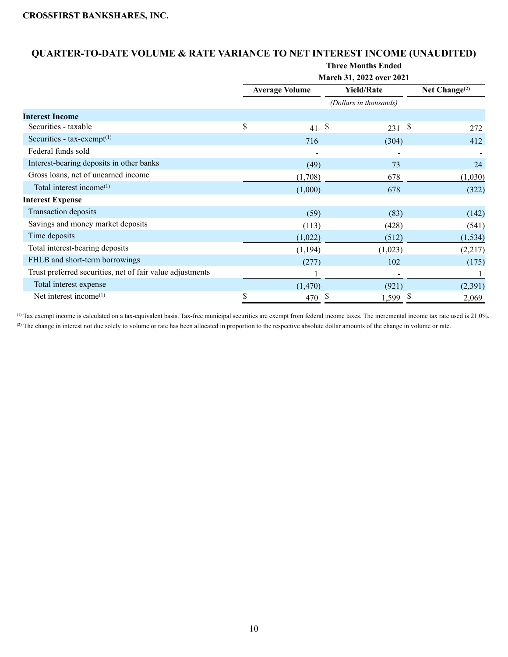## **QUARTER-TO-DATE VOLUME & RATE VARIANCE TO NET INTEREST INCOME (UNAUDITED)**

|                                                           | <b>Three Months Ended</b> |                       |    |                          |    |                  |  |  |  |  |  |
|-----------------------------------------------------------|---------------------------|-----------------------|----|--------------------------|----|------------------|--|--|--|--|--|
|                                                           |                           |                       |    | March 31, 2022 over 2021 |    |                  |  |  |  |  |  |
|                                                           |                           | <b>Average Volume</b> |    | <b>Yield/Rate</b>        |    | Net Change $(2)$ |  |  |  |  |  |
|                                                           |                           |                       |    | (Dollars in thousands)   |    |                  |  |  |  |  |  |
| <b>Interest Income</b>                                    |                           |                       |    |                          |    |                  |  |  |  |  |  |
| Securities - taxable                                      | \$                        | 41                    | \$ | 231                      | \$ | 272              |  |  |  |  |  |
| Securities - $tax-exempt(1)$                              |                           | 716                   |    | (304)                    |    | 412              |  |  |  |  |  |
| Federal funds sold                                        |                           |                       |    |                          |    |                  |  |  |  |  |  |
| Interest-bearing deposits in other banks                  |                           | (49)                  |    | 73                       |    | 24               |  |  |  |  |  |
| Gross loans, net of unearned income                       |                           | (1,708)               |    | 678                      |    | (1,030)          |  |  |  |  |  |
| Total interest income <sup>(1)</sup>                      |                           | (1,000)               |    | 678                      |    | (322)            |  |  |  |  |  |
| <b>Interest Expense</b>                                   |                           |                       |    |                          |    |                  |  |  |  |  |  |
| <b>Transaction deposits</b>                               |                           | (59)                  |    | (83)                     |    | (142)            |  |  |  |  |  |
| Savings and money market deposits                         |                           | (113)                 |    | (428)                    |    | (541)            |  |  |  |  |  |
| Time deposits                                             |                           | (1,022)               |    | (512)                    |    | (1, 534)         |  |  |  |  |  |
| Total interest-bearing deposits                           |                           | (1, 194)              |    | (1,023)                  |    | (2,217)          |  |  |  |  |  |
| FHLB and short-term borrowings                            |                           | (277)                 |    | 102                      |    | (175)            |  |  |  |  |  |
| Trust preferred securities, net of fair value adjustments |                           |                       |    |                          |    |                  |  |  |  |  |  |
| Total interest expense                                    |                           | (1,470)               |    | (921)                    |    | (2,391)          |  |  |  |  |  |
| Net interest income <sup>(1)</sup>                        | \$                        | 470                   | S  | 1,599                    | \$ | 2,069            |  |  |  |  |  |

(1) Tax exempt income is calculated on a tax-equivalent basis. Tax-free municipal securities are exempt from federal income taxes. The incremental income tax rate used is 21.0%. (2) The change in interest not due solely to volume or rate has been allocated in proportion to the respective absolute dollar amounts of the change in volume or rate.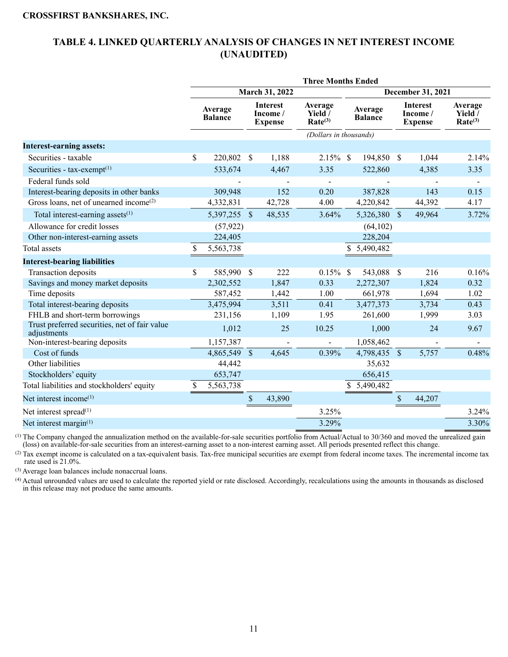## **TABLE 4. LINKED QUARTERLY ANALYSIS OF CHANGES IN NET INTEREST INCOME (UNAUDITED)**

|                                                              | <b>Three Months Ended</b> |                           |      |                                               |                                                         |                           |              |                                               |                   |                                                         |  |  |  |
|--------------------------------------------------------------|---------------------------|---------------------------|------|-----------------------------------------------|---------------------------------------------------------|---------------------------|--------------|-----------------------------------------------|-------------------|---------------------------------------------------------|--|--|--|
|                                                              |                           |                           |      | March 31, 2022                                |                                                         |                           |              |                                               | December 31, 2021 |                                                         |  |  |  |
|                                                              |                           | Average<br><b>Balance</b> |      | <b>Interest</b><br>Income /<br><b>Expense</b> | Average<br>Yield $\overline{\ }$<br>Rate <sup>(3)</sup> | Average<br><b>Balance</b> |              | <b>Interest</b><br>Income /<br><b>Expense</b> |                   | Average<br>Yield $\overline{\ }$<br>Rate <sup>(3)</sup> |  |  |  |
|                                                              |                           |                           |      |                                               | (Dollars in thousands)                                  |                           |              |                                               |                   |                                                         |  |  |  |
| <b>Interest-earning assets:</b>                              |                           |                           |      |                                               |                                                         |                           |              |                                               |                   |                                                         |  |  |  |
| Securities - taxable                                         | \$                        | 220,802 \$                |      | 1,188                                         | $2.15\%$ \$                                             |                           | 194,850 \$   |                                               | 1,044             | 2.14%                                                   |  |  |  |
| Securities - tax-exempt <sup>(1)</sup>                       |                           | 533,674                   |      | 4,467                                         | 3.35                                                    |                           | 522,860      |                                               | 4,385             | 3.35                                                    |  |  |  |
| Federal funds sold                                           |                           |                           |      |                                               | $\blacksquare$                                          |                           |              |                                               |                   | $\overline{\phantom{a}}$                                |  |  |  |
| Interest-bearing deposits in other banks                     |                           | 309,948                   |      | 152                                           | 0.20                                                    |                           | 387,828      |                                               | 143               | 0.15                                                    |  |  |  |
| Gross loans, net of unearned income <sup>(2)</sup>           |                           | 4,332,831                 |      | 42,728                                        | 4.00                                                    |                           | 4,220,842    |                                               | 44,392            | 4.17                                                    |  |  |  |
| Total interest-earning assets <sup>(1)</sup>                 |                           | 5,397,255 \$              |      | 48,535                                        | 3.64%                                                   |                           | 5,326,380 \$ |                                               | 49,964            | 3.72%                                                   |  |  |  |
| Allowance for credit losses                                  |                           | (57, 922)                 |      |                                               |                                                         |                           | (64, 102)    |                                               |                   |                                                         |  |  |  |
| Other non-interest-earning assets                            |                           | 224,405                   |      |                                               |                                                         |                           | 228,204      |                                               |                   |                                                         |  |  |  |
| <b>Total</b> assets                                          | S                         | 5,563,738                 |      |                                               |                                                         |                           | \$5,490,482  |                                               |                   |                                                         |  |  |  |
| <b>Interest-bearing liabilities</b>                          |                           |                           |      |                                               |                                                         |                           |              |                                               |                   |                                                         |  |  |  |
| Transaction deposits                                         | \$                        | 585,990 \$                |      | 222                                           | $0.15\%$ \$                                             |                           | 543,088 \$   |                                               | 216               | 0.16%                                                   |  |  |  |
| Savings and money market deposits                            |                           | 2,302,552                 |      | 1,847                                         | 0.33                                                    |                           | 2,272,307    |                                               | 1,824             | 0.32                                                    |  |  |  |
| Time deposits                                                |                           | 587,452                   |      | 1,442                                         | 1.00                                                    |                           | 661,978      |                                               | 1,694             | 1.02                                                    |  |  |  |
| Total interest-bearing deposits                              |                           | 3,475,994                 |      | 3,511                                         | 0.41                                                    |                           | 3,477,373    |                                               | 3,734             | 0.43                                                    |  |  |  |
| FHLB and short-term borrowings                               |                           | 231,156                   |      | 1,109                                         | 1.95                                                    |                           | 261,600      |                                               | 1,999             | 3.03                                                    |  |  |  |
| Trust preferred securities, net of fair value<br>adjustments |                           | 1,012                     |      | 25                                            | 10.25                                                   |                           | 1,000        |                                               | 24                | 9.67                                                    |  |  |  |
| Non-interest-bearing deposits                                |                           | 1,157,387                 |      | $\overline{\phantom{a}}$                      | $\blacksquare$                                          |                           | 1,058,462    |                                               |                   |                                                         |  |  |  |
| Cost of funds                                                |                           | 4,865,549 \$              |      | 4,645                                         | 0.39%                                                   |                           | 4,798,435 \$ |                                               | 5,757             | 0.48%                                                   |  |  |  |
| Other liabilities                                            |                           | 44,442                    |      |                                               |                                                         |                           | 35,632       |                                               |                   |                                                         |  |  |  |
| Stockholders' equity                                         |                           | 653,747                   |      |                                               |                                                         |                           | 656,415      |                                               |                   |                                                         |  |  |  |
| Total liabilities and stockholders' equity                   | <sup>S</sup>              | 5,563,738                 |      |                                               |                                                         | S                         | 5,490,482    |                                               |                   |                                                         |  |  |  |
| Net interest income <sup>(1)</sup>                           |                           |                           | $\$$ | 43,890                                        |                                                         |                           |              | \$                                            | 44,207            |                                                         |  |  |  |
| Net interest spread $(1)$                                    |                           |                           |      |                                               | 3.25%                                                   |                           |              |                                               |                   | 3.24%                                                   |  |  |  |
| Net interest margin <sup>(1)</sup>                           |                           |                           |      |                                               | 3.29%                                                   |                           |              |                                               |                   | 3.30%                                                   |  |  |  |

(1) The Company changed the annualization method on the available-for-sale securities portfolio from Actual/Actual to 30/360 and moved the unrealized gain (loss) on available-for-sale securities from an interest-earning asset to a non-interest earning asset. All periods presented reflect this change.

 $^{(2)}$  Tax exempt income is calculated on a tax-equivalent basis. Tax-free municipal securities are exempt from federal income taxes. The incremental income tax rate used is 21.0%.

(3) Average loan balances include nonaccrual loans.

(4) Actual unrounded values are used to calculate the reported yield or rate disclosed. Accordingly, recalculations using the amounts in thousands as disclosed in this release may not produce the same amounts.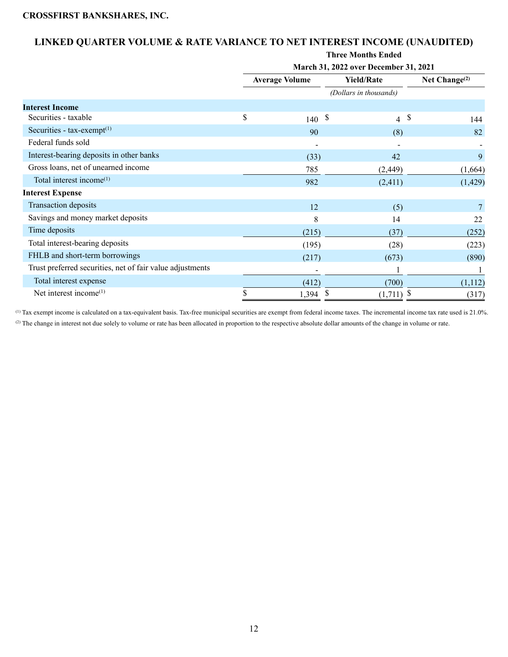## **LINKED QUARTER VOLUME & RATE VARIANCE TO NET INTEREST INCOME (UNAUDITED)**

|                                                           | <b>Three Months Ended</b> |                       |    |                                       |                  |          |  |  |  |  |  |
|-----------------------------------------------------------|---------------------------|-----------------------|----|---------------------------------------|------------------|----------|--|--|--|--|--|
|                                                           |                           |                       |    | March 31, 2022 over December 31, 2021 |                  |          |  |  |  |  |  |
|                                                           |                           | <b>Average Volume</b> |    | <b>Yield/Rate</b>                     | Net Change $(2)$ |          |  |  |  |  |  |
|                                                           |                           |                       |    | (Dollars in thousands)                |                  |          |  |  |  |  |  |
| <b>Interest Income</b>                                    |                           |                       |    |                                       |                  |          |  |  |  |  |  |
| Securities - taxable                                      | \$                        | 140                   | \$ | \$<br>$\overline{4}$                  |                  | 144      |  |  |  |  |  |
| Securities - $tax\text{-}exempt^{(1)}$                    |                           | 90                    |    | (8)                                   |                  | 82       |  |  |  |  |  |
| Federal funds sold                                        |                           |                       |    |                                       |                  |          |  |  |  |  |  |
| Interest-bearing deposits in other banks                  |                           | (33)                  |    | 42                                    |                  | 9        |  |  |  |  |  |
| Gross loans, net of unearned income                       |                           | 785                   |    | (2, 449)                              |                  | (1,664)  |  |  |  |  |  |
| Total interest income <sup>(1)</sup>                      |                           | 982                   |    | (2,411)                               |                  | (1, 429) |  |  |  |  |  |
| <b>Interest Expense</b>                                   |                           |                       |    |                                       |                  |          |  |  |  |  |  |
| Transaction deposits                                      |                           | 12                    |    | (5)                                   |                  |          |  |  |  |  |  |
| Savings and money market deposits                         |                           | 8                     |    | 14                                    |                  | 22       |  |  |  |  |  |
| Time deposits                                             |                           | (215)                 |    | (37)                                  |                  | (252)    |  |  |  |  |  |
| Total interest-bearing deposits                           |                           | (195)                 |    | (28)                                  |                  | (223)    |  |  |  |  |  |
| FHLB and short-term borrowings                            |                           | (217)                 |    | (673)                                 |                  | (890)    |  |  |  |  |  |
| Trust preferred securities, net of fair value adjustments |                           |                       |    |                                       |                  |          |  |  |  |  |  |
| Total interest expense                                    |                           | (412)                 |    | (700)                                 |                  | (1,112)  |  |  |  |  |  |
| Net interest income <sup>(1)</sup>                        |                           | 1,394                 | S  | \$<br>(1,711)                         |                  | (317)    |  |  |  |  |  |

(1) Tax exempt income is calculated on a tax-equivalent basis. Tax-free municipal securities are exempt from federal income taxes. The incremental income tax rate used is 21.0%. (2) The change in interest not due solely to volume or rate has been allocated in proportion to the respective absolute dollar amounts of the change in volume or rate.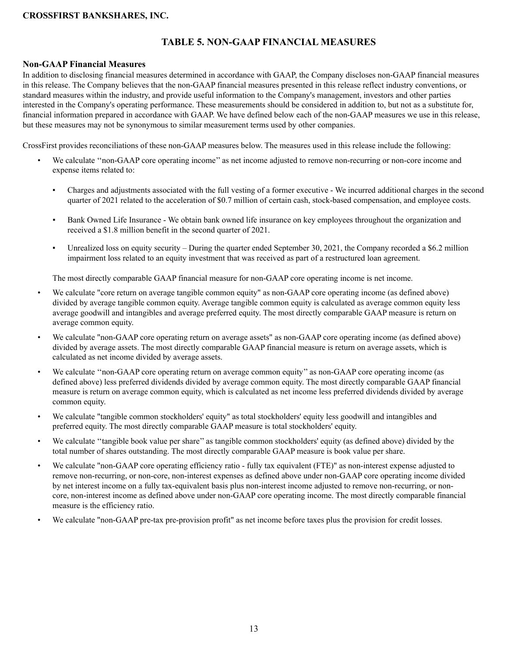## **TABLE 5. NON-GAAP FINANCIAL MEASURES**

### **Non-GAAP Financial Measures**

In addition to disclosing financial measures determined in accordance with GAAP, the Company discloses non-GAAP financial measures in this release. The Company believes that the non-GAAP financial measures presented in this release reflect industry conventions, or standard measures within the industry, and provide useful information to the Company's management, investors and other parties interested in the Company's operating performance. These measurements should be considered in addition to, but not as a substitute for, financial information prepared in accordance with GAAP. We have defined below each of the non-GAAP measures we use in this release, but these measures may not be synonymous to similar measurement terms used by other companies.

CrossFirst provides reconciliations of these non-GAAP measures below. The measures used in this release include the following:

- We calculate "non-GAAP core operating income" as net income adjusted to remove non-recurring or non-core income and expense items related to:
	- Charges and adjustments associated with the full vesting of a former executive We incurred additional charges in the second quarter of 2021 related to the acceleration of \$0.7 million of certain cash, stock-based compensation, and employee costs.
	- Bank Owned Life Insurance We obtain bank owned life insurance on key employees throughout the organization and received a \$1.8 million benefit in the second quarter of 2021.
	- Unrealized loss on equity security During the quarter ended September 30, 2021, the Company recorded a \$6.2 million impairment loss related to an equity investment that was received as part of a restructured loan agreement.

The most directly comparable GAAP financial measure for non-GAAP core operating income is net income.

- We calculate "core return on average tangible common equity" as non-GAAP core operating income (as defined above) divided by average tangible common equity. Average tangible common equity is calculated as average common equity less average goodwill and intangibles and average preferred equity. The most directly comparable GAAP measure is return on average common equity.
- We calculate "non-GAAP core operating return on average assets" as non-GAAP core operating income (as defined above) divided by average assets. The most directly comparable GAAP financial measure is return on average assets, which is calculated as net income divided by average assets.
- We calculate ''non-GAAP core operating return on average common equity'' as non-GAAP core operating income (as defined above) less preferred dividends divided by average common equity. The most directly comparable GAAP financial measure is return on average common equity, which is calculated as net income less preferred dividends divided by average common equity.
- We calculate "tangible common stockholders' equity" as total stockholders' equity less goodwill and intangibles and preferred equity. The most directly comparable GAAP measure is total stockholders' equity.
- We calculate ''tangible book value per share'' as tangible common stockholders' equity (as defined above) divided by the total number of shares outstanding. The most directly comparable GAAP measure is book value per share.
- We calculate "non-GAAP core operating efficiency ratio fully tax equivalent (FTE)" as non-interest expense adjusted to remove non-recurring, or non-core, non-interest expenses as defined above under non-GAAP core operating income divided by net interest income on a fully tax-equivalent basis plus non-interest income adjusted to remove non-recurring, or noncore, non-interest income as defined above under non-GAAP core operating income. The most directly comparable financial measure is the efficiency ratio.
- We calculate "non-GAAP pre-tax pre-provision profit" as net income before taxes plus the provision for credit losses.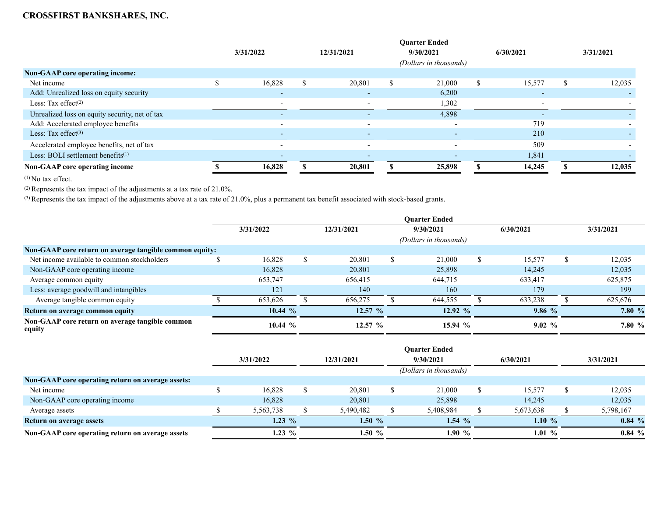|                                                | <b>Ouarter Ended</b> |                          |    |            |  |                          |  |                          |           |        |  |
|------------------------------------------------|----------------------|--------------------------|----|------------|--|--------------------------|--|--------------------------|-----------|--------|--|
|                                                | 3/31/2022            |                          |    | 12/31/2021 |  | 9/30/2021                |  | 6/30/2021                | 3/31/2021 |        |  |
|                                                |                      |                          |    |            |  | (Dollars in thousands)   |  |                          |           |        |  |
| <b>Non-GAAP core operating income:</b>         |                      |                          |    |            |  |                          |  |                          |           |        |  |
| Net income                                     |                      | 16,828                   | \$ | 20,801     |  | 21,000                   |  | 15,577                   |           | 12,035 |  |
| Add: Unrealized loss on equity security        |                      | $\overline{\phantom{0}}$ |    |            |  | 6,200                    |  |                          |           |        |  |
| Less: Tax effect $(2)$                         |                      | $\overline{\phantom{a}}$ |    |            |  | 1,302                    |  | $\overline{\phantom{0}}$ |           |        |  |
| Unrealized loss on equity security, net of tax |                      | $\overline{\phantom{0}}$ |    |            |  | 4,898                    |  | $\overline{a}$           |           |        |  |
| Add: Accelerated employee benefits             |                      | $\overline{\phantom{a}}$ |    |            |  |                          |  | 719                      |           |        |  |
| Less: Tax effect $(3)$                         |                      | $\overline{a}$           |    |            |  | $\overline{\phantom{0}}$ |  | 210                      |           |        |  |
| Accelerated employee benefits, net of tax      |                      | $\overline{\phantom{a}}$ |    |            |  |                          |  | 509                      |           |        |  |
| Less: BOLI settlement benefits <sup>(1)</sup>  |                      | $\overline{\phantom{0}}$ |    |            |  |                          |  | 1,841                    |           |        |  |
| Non-GAAP core operating income                 |                      | 16,828                   |    | 20,801     |  | 25,898                   |  | 14,245                   |           | 12,035 |  |

 $(1)$  No tax effect.

(2) Represents the tax impact of the adjustments at a tax rate of 21.0%.

<sup>(3)</sup> Represents the tax impact of the adjustments above at a tax rate of 21.0%, plus a permanent tax benefit associated with stock-based grants.

|                                                           | <b>Ouarter Ended</b> |  |            |   |                        |  |           |  |           |  |
|-----------------------------------------------------------|----------------------|--|------------|---|------------------------|--|-----------|--|-----------|--|
|                                                           | 3/31/2022            |  | 12/31/2021 |   | 9/30/2021              |  | 6/30/2021 |  | 3/31/2021 |  |
|                                                           |                      |  |            |   | (Dollars in thousands) |  |           |  |           |  |
| Non-GAAP core return on average tangible common equity:   |                      |  |            |   |                        |  |           |  |           |  |
| Net income available to common stockholders               | 16.828               |  | 20.801     | S | 21,000                 |  | 15,577    |  | 12,035    |  |
| Non-GAAP core operating income                            | 16,828               |  | 20,801     |   | 25,898                 |  | 14,245    |  | 12,035    |  |
| Average common equity                                     | 653,747              |  | 656,415    |   | 644,715                |  | 633,417   |  | 625,875   |  |
| Less: average goodwill and intangibles                    | 121                  |  | 140        |   | 160                    |  | 179       |  | 199       |  |
| Average tangible common equity                            | 653,626              |  | 656,275    |   | 644,555                |  | 633,238   |  | 625,676   |  |
| Return on average common equity                           | 10.44 $%$            |  | $12.57~\%$ |   | $12.92~\%$             |  | 9.86%     |  | 7.80 %    |  |
| Non-GAAP core return on average tangible common<br>equity | 10.44 $%$            |  | $12.57~\%$ |   | 15.94%                 |  | $9.02\%$  |  | 7.80%     |  |

|                                                   |           |                        |            |           |  | <b>Ouarter Ended</b> |  |           |  |           |
|---------------------------------------------------|-----------|------------------------|------------|-----------|--|----------------------|--|-----------|--|-----------|
|                                                   | 3/31/2022 |                        | 12/31/2021 |           |  | 9/30/2021            |  | 6/30/2021 |  | 3/31/2021 |
|                                                   |           | (Dollars in thousands) |            |           |  |                      |  |           |  |           |
| Non-GAAP core operating return on average assets: |           |                        |            |           |  |                      |  |           |  |           |
| Net income                                        |           | 16,828                 |            | 20,801    |  | 21,000               |  | 15,577    |  | 12,035    |
| Non-GAAP core operating income                    |           | 16,828                 |            | 20,801    |  | 25,898               |  | 14,245    |  | 12,035    |
| Average assets                                    |           | 5,563,738              |            | 5,490,482 |  | 5,408,984            |  | 5,673,638 |  | 5,798,167 |
| <b>Return on average assets</b>                   |           | $1.23\%$               |            | $1.50 \%$ |  | $1.54\%$             |  | 1.10%     |  | $0.84\%$  |
| Non-GAAP core operating return on average assets  |           | 1.23 $%$               |            | 1.50 $%$  |  | $1.90\%$             |  | $1.01\%$  |  | $0.84\%$  |